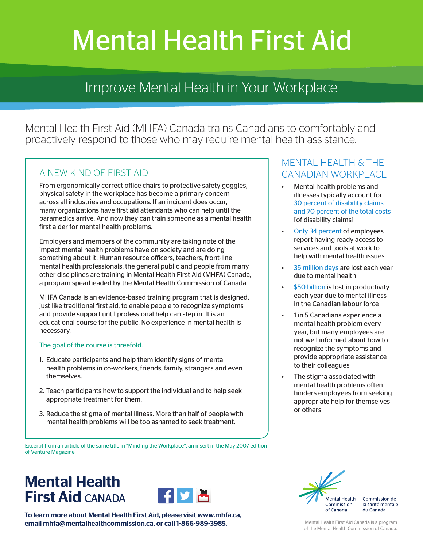# Mental Health First Aid

# Improve Mental Health in Your Workplace

Mental Health First Aid (MHFA) Canada trains Canadians to comfortably and proactively respond to those who may require mental health assistance.

#### A NEW KIND OF FIRST AID

From ergonomically correct office chairs to protective safety goggles, physical safety in the workplace has become a primary concern across all industries and occupations. If an incident does occur, many organizations have first aid attendants who can help until the paramedics arrive. And now they can train someone as a mental health first aider for mental health problems.

Employers and members of the community are taking note of the impact mental health problems have on society and are doing something about it. Human resource officers, teachers, front-line mental health professionals, the general public and people from many other disciplines are training in Mental Health First Aid (MHFA) Canada, a program spearheaded by the Mental Health Commission of Canada.

MHFA Canada is an evidence-based training program that is designed, just like traditional first aid, to enable people to recognize symptoms and provide support until professional help can step in. It is an educational course for the public. No experience in mental health is necessary.

#### The goal of the course is threefold.

- 1. Educate participants and help them identify signs of mental health problems in co-workers, friends, family, strangers and even themselves.
- 2. Teach participants how to support the individual and to help seek appropriate treatment for them.
- 3. Reduce the stigma of mental illness. More than half of people with mental health problems will be too ashamed to seek treatment.

Excerpt from an article of the same title in "Minding the Workplace", an insert in the May 2007 edition of Venture Magazine

# **Mental Health First Aid CANADA**



To learn more about Mental Health First Aid, please visit www.mhfa.ca, email mhfa@mentalhealthcommission.ca, or call 1-866-989-3985. Mental Health First Aid Canada is a program

## MENTAL HEALTH & THE CANADIAN WORKPLACE

- Mental health problems and illnesses typically account for 30 percent of disability claims and 70 percent of the total costs [of disability claims]
- Only 34 percent of employees report having ready access to services and tools at work to help with mental health issues
- 35 million days are lost each year due to mental health
- \$50 billion is lost in productivity each year due to mental illness in the Canadian labour force
- 1 in 5 Canadians experience a mental health problem every year, but many employees are not well informed about how to recognize the symptoms and provide appropriate assistance to their colleagues
- The stigma associated with mental health problems often hinders employees from seeking appropriate help for themselves or others



Commission de la santé mentale du Canada

of the Mental Health Commission of Canada.